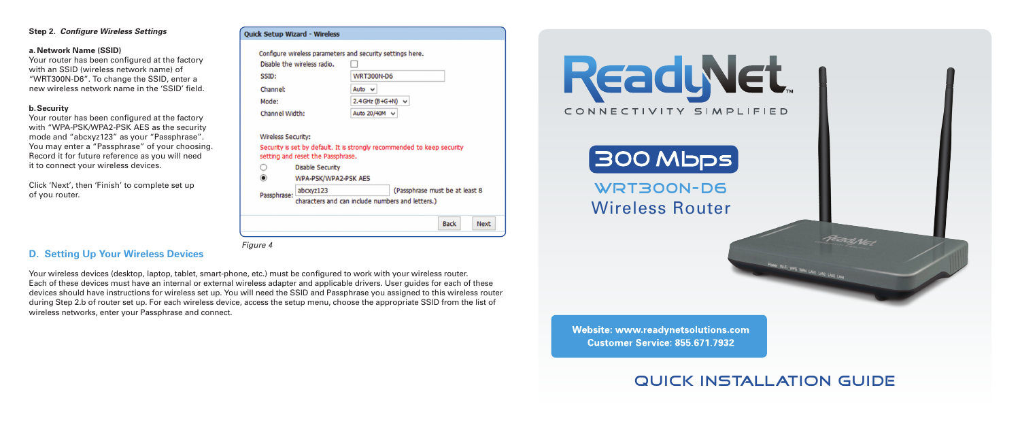### **Step 2.** *Configure Wireless Settings*

#### **a. Network Name (SSID)**

Your router has been configured at the factory with an SSID (wireless network name) of "WRT300N-D6". To change the SSID, enter a new wireless network name in the 'SSID' field.

#### **b.Security**

Your router has been configured at the factory with "WPA-PSK/WPA2-PSK AES as the security mode and "abcxyz123" as your "Passphrase". You may enter a "Passphrase" of your choosing. Record it for future reference as you will need it to connect your wireless devices.

Click 'Next', then 'Finish' to complete set up of you router.

| <b>WRT300N-D6</b>        |
|--------------------------|
|                          |
| Auto $\vee$              |
| 2.4 GHz $(B+G+N)$ $\vee$ |
| Auto 20/40M v            |
|                          |

Security is set by default. It is strongly recommended to keep security setting and reset the Passphrase.

 $\circ$ **Disable Security** 

Ouick Setup Wizard - Wireless

WPA-PSK/WPA2-PSK AFS

abcxyz123 (Passphrase must be at least 8 Passphrase: characters and can include numbers and letters.)

**Back** 

**Next** 

*Figure 4*

## **D. Setting Up Your Wireless Devices**

Your wireless devices (desktop, laptop, tablet, smart-phone, etc.) must be configured to work with your wireless router. Each of these devices must have an internal or external wireless adapter and applicable drivers. User guides for each of these devices should have instructions for wireless set up. You will need the SSID and Passphrase you assigned to this wireless router during Step 2.b of router set up. For each wireless device, access the setup menu, choose the appropriate SSID from the list of wireless networks, enter your Passphrase and connect.

 $\circledcirc$ 



Website: www.readynetsolutions.com **Customer Service: 855.671.7932** 

# Quick Installation Guide